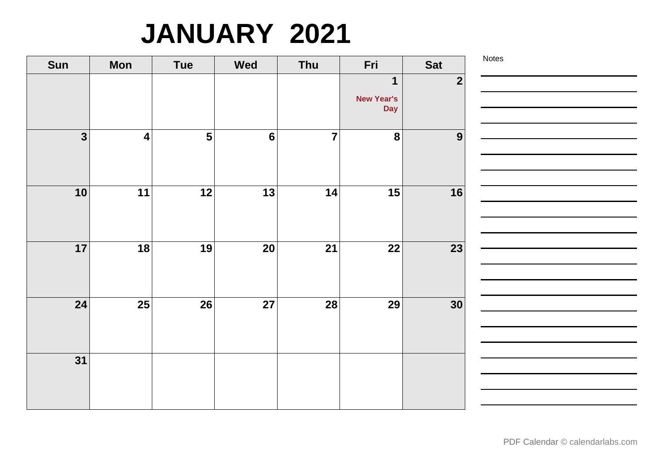## **JANUARY 2021**

| Sun                     | <b>Mon</b>              | Tue                     | <b>Wed</b>      | Thu             | Fri                                            | <b>Sat</b>              | Notes |
|-------------------------|-------------------------|-------------------------|-----------------|-----------------|------------------------------------------------|-------------------------|-------|
|                         |                         |                         |                 |                 | $\mathbf 1$<br><b>New Year's</b><br><b>Day</b> | $\overline{\mathbf{2}}$ |       |
| $\overline{\mathbf{3}}$ | $\overline{\mathbf{4}}$ | $\overline{\mathbf{5}}$ | $6\phantom{a}$  | $\overline{7}$  | $\overline{\mathbf{8}}$                        | 9                       |       |
| 10                      | 11                      | $\overline{12}$         | $\overline{13}$ | 14              | 15                                             | 16                      |       |
| 17                      | 18                      | 19                      | 20              | 21              | 22                                             | 23                      |       |
| 24                      | 25                      | 26                      | 27              | $\overline{28}$ | <b>29</b>                                      | 30                      |       |
| $\overline{31}$         |                         |                         |                 |                 |                                                |                         |       |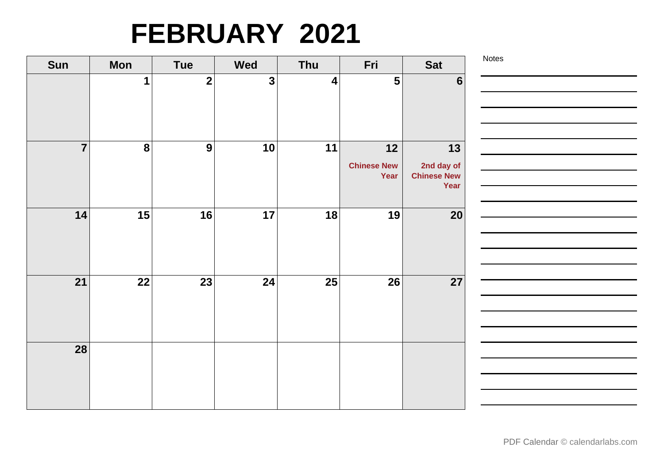# **FEBRUARY 2021**

| Sun            | <b>Mon</b>       | <b>Tue</b>              | <b>Wed</b>              | Thu       | Fri                        | <b>Sat</b>                       | Notes |
|----------------|------------------|-------------------------|-------------------------|-----------|----------------------------|----------------------------------|-------|
|                | $\mathbf 1$      | $\overline{\mathbf{2}}$ | $\overline{\mathbf{3}}$ | $\vert$ 4 | $5\phantom{1}$             | $6\phantom{1}$                   |       |
|                |                  |                         |                         |           |                            |                                  |       |
|                |                  |                         |                         |           |                            |                                  |       |
|                |                  |                         |                         |           |                            |                                  |       |
| $\overline{7}$ | $\boldsymbol{8}$ | 9                       | 10                      | 11        | $12$                       | 13                               |       |
|                |                  |                         |                         |           | <b>Chinese New</b><br>Year | 2nd day of<br><b>Chinese New</b> |       |
|                |                  |                         |                         |           |                            | Year                             |       |
| 14             | 15               | 16                      | 17                      | 18        | 19                         | 20                               |       |
|                |                  |                         |                         |           |                            |                                  |       |
|                |                  |                         |                         |           |                            |                                  |       |
|                |                  |                         |                         |           |                            |                                  |       |
| 21             | 22               | 23                      | 24                      | 25        | 26                         | 27                               |       |
|                |                  |                         |                         |           |                            |                                  |       |
|                |                  |                         |                         |           |                            |                                  |       |
|                |                  |                         |                         |           |                            |                                  |       |
| 28             |                  |                         |                         |           |                            |                                  |       |
|                |                  |                         |                         |           |                            |                                  |       |
|                |                  |                         |                         |           |                            |                                  |       |
|                |                  |                         |                         |           |                            |                                  |       |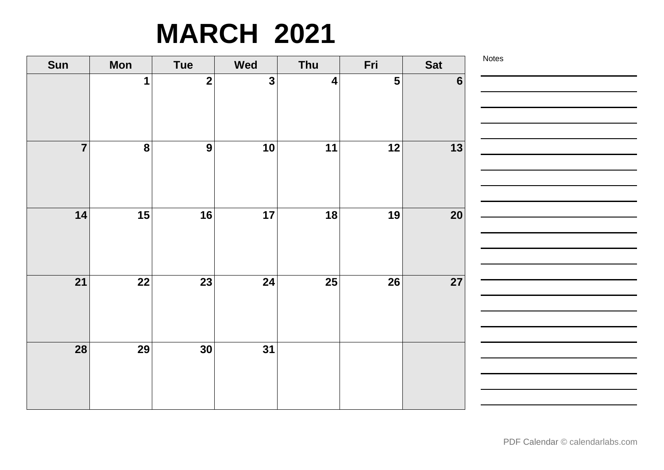## **MARCH 2021**

| Sun            | <b>Mon</b>       | <b>Tue</b>              | <b>Wed</b>   | Thu              | Fri                     | <b>Sat</b>     | Notes |
|----------------|------------------|-------------------------|--------------|------------------|-------------------------|----------------|-------|
|                | $\mathbf 1$      | $\overline{\mathbf{2}}$ | $\mathbf{3}$ | $\boldsymbol{4}$ | $\overline{\mathbf{5}}$ | $6\phantom{1}$ |       |
|                |                  |                         |              |                  |                         |                |       |
|                |                  |                         |              |                  |                         |                |       |
|                |                  |                         |              |                  |                         |                |       |
| $\overline{7}$ | $\boldsymbol{8}$ | 9                       | 10           | 11               | 12                      | 13             |       |
|                |                  |                         |              |                  |                         |                |       |
|                |                  |                         |              |                  |                         |                |       |
|                |                  |                         |              |                  |                         |                |       |
| 14             | 15               | 16                      | 17           | 18               | 19                      | 20             |       |
|                |                  |                         |              |                  |                         |                |       |
|                |                  |                         |              |                  |                         |                |       |
| 21             | 22               | 23                      | 24           | 25               | 26                      | 27             |       |
|                |                  |                         |              |                  |                         |                |       |
|                |                  |                         |              |                  |                         |                |       |
|                |                  |                         |              |                  |                         |                |       |
| 28             | 29               | 30 <sup>°</sup>         | 31           |                  |                         |                |       |
|                |                  |                         |              |                  |                         |                |       |
|                |                  |                         |              |                  |                         |                |       |
|                |                  |                         |              |                  |                         |                |       |
|                |                  |                         |              |                  |                         |                |       |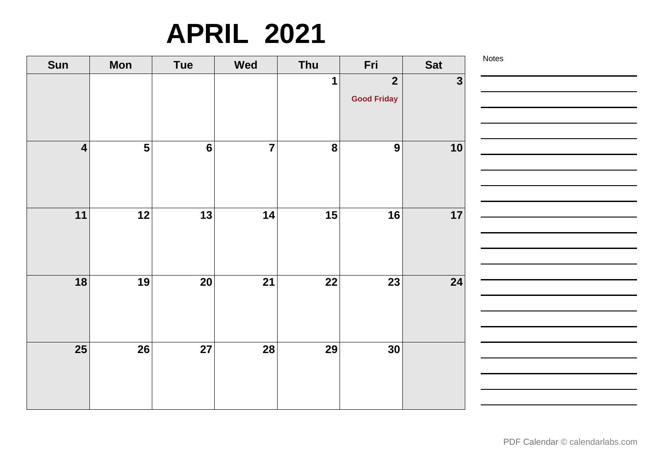## **APRIL 2021**

| Sun                     | <b>Mon</b>              | Tue            | <b>Wed</b>     | Thu              | Fri                                           | <b>Sat</b>   | Notes |
|-------------------------|-------------------------|----------------|----------------|------------------|-----------------------------------------------|--------------|-------|
|                         |                         |                |                | 1                | $\overline{\mathbf{2}}$<br><b>Good Friday</b> | $\mathbf{3}$ |       |
| $\overline{\mathbf{4}}$ | $\overline{\mathbf{5}}$ | $6\phantom{a}$ | $\overline{7}$ | $\boldsymbol{8}$ | $\boldsymbol{9}$                              | 10           |       |
| 11                      | 12                      | 13             | 14             | 15               | 16                                            | 17           |       |
| 18                      | 19                      | 20             | 21             | 22               | 23                                            | 24           |       |
| 25                      | 26                      | 27             | 28             | 29               | 30                                            |              |       |

**Contract Contract Contract** 

<u> 1999 - Johann Barnett, f</u>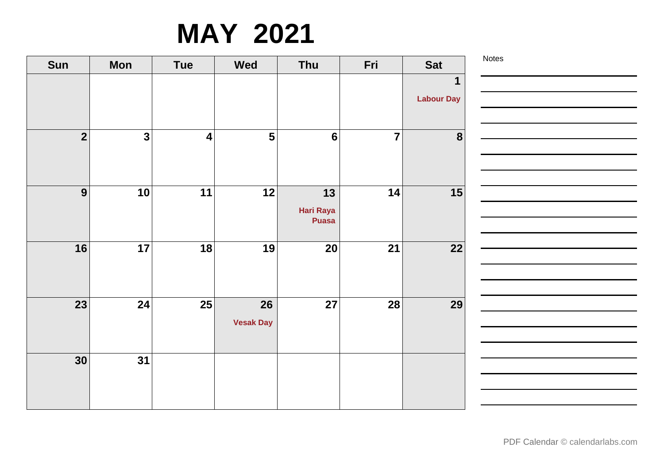# **MAY 2021**

| Sun             | <b>Mon</b>              | <b>Tue</b>              | <b>Wed</b>              | Thu             | Fri            | <b>Sat</b>        | Notes |
|-----------------|-------------------------|-------------------------|-------------------------|-----------------|----------------|-------------------|-------|
|                 |                         |                         |                         |                 |                | $\mathbf 1$       |       |
|                 |                         |                         |                         |                 |                | <b>Labour Day</b> |       |
|                 |                         |                         |                         |                 |                |                   |       |
| $\overline{2}$  | $\overline{\mathbf{3}}$ | $\overline{\mathbf{4}}$ | $\overline{\mathbf{5}}$ | $6\phantom{1}6$ | $\overline{7}$ | 8                 |       |
|                 |                         |                         |                         |                 |                |                   |       |
|                 |                         |                         |                         |                 |                |                   |       |
| 9               | 10                      | 11                      | 12                      | 13              | 14             | 15                |       |
|                 |                         |                         |                         | Hari Raya       |                |                   |       |
|                 |                         |                         |                         | <b>Puasa</b>    |                |                   |       |
| 16              | 17                      | 18                      | 19                      | 20              | 21             | 22                |       |
|                 |                         |                         |                         |                 |                |                   |       |
|                 |                         |                         |                         |                 |                |                   |       |
| $\overline{23}$ | 24                      | $\overline{25}$         | 26                      | 27              | <b>28</b>      | 29                |       |
|                 |                         |                         | <b>Vesak Day</b>        |                 |                |                   |       |
|                 |                         |                         |                         |                 |                |                   |       |
| 30              | 31                      |                         |                         |                 |                |                   |       |
|                 |                         |                         |                         |                 |                |                   |       |
|                 |                         |                         |                         |                 |                |                   |       |
|                 |                         |                         |                         |                 |                |                   |       |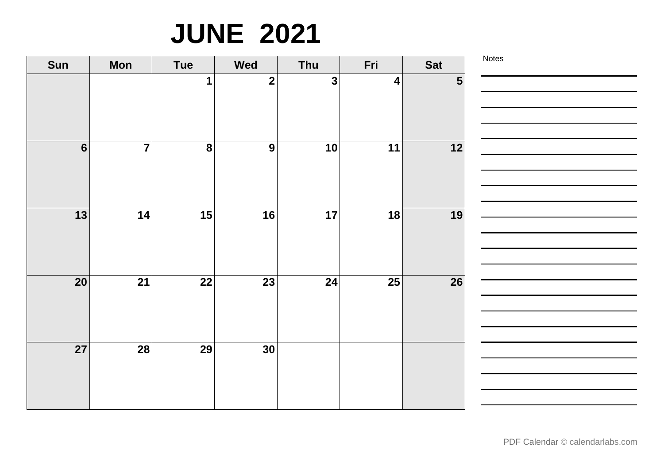# **JUNE 2021**

| Sun             | <b>Mon</b>     | Tue                     | <b>Wed</b>              | Thu          | Fri                     | <b>Sat</b>     | Notes |
|-----------------|----------------|-------------------------|-------------------------|--------------|-------------------------|----------------|-------|
|                 |                | $\mathbf 1$             | $\overline{\mathbf{2}}$ | $\mathbf{3}$ | $\overline{\mathbf{4}}$ | 5 <sup>1</sup> |       |
|                 |                |                         |                         |              |                         |                |       |
|                 |                |                         |                         |              |                         |                |       |
| $6\overline{6}$ | $\overline{7}$ | $\overline{\mathbf{8}}$ | $\boldsymbol{9}$        | 10           | 11                      | 12             |       |
|                 |                |                         |                         |              |                         |                |       |
|                 |                |                         |                         |              |                         |                |       |
| 13              | 14             | 15                      | 16                      | 17           | 18                      | 19             |       |
|                 |                |                         |                         |              |                         |                |       |
|                 |                |                         |                         |              |                         |                |       |
| <b>20</b>       | 21             | 22                      | 23                      | 24           | 25                      | 26             |       |
|                 |                |                         |                         |              |                         |                |       |
|                 |                |                         |                         |              |                         |                |       |
| $\overline{27}$ | <b>28</b>      | 29                      | 30                      |              |                         |                |       |
|                 |                |                         |                         |              |                         |                |       |
|                 |                |                         |                         |              |                         |                |       |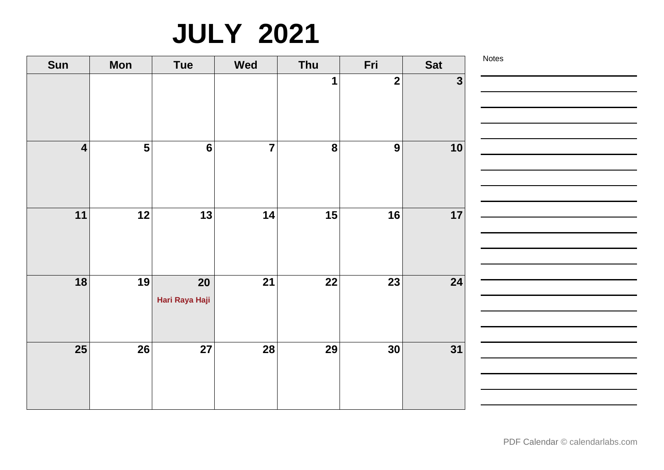# **JULY 2021**

| Sun                     | <b>Mon</b>              | Tue                  | <b>Wed</b>     | Thu       | Fri                     | <b>Sat</b>   | Notes |
|-------------------------|-------------------------|----------------------|----------------|-----------|-------------------------|--------------|-------|
|                         |                         |                      |                | 1         | $\overline{\mathbf{2}}$ | $\mathbf{3}$ |       |
| $\overline{\mathbf{4}}$ | $\overline{\mathbf{5}}$ | $6\phantom{a}$       | $\overline{7}$ | $\pmb{8}$ | 9                       | 10           |       |
| 11                      | 12                      | 13                   | 14             | 15        | 16                      | 17           |       |
| 18                      | 19                      | 20<br>Hari Raya Haji | 21             | 22        | 23                      | 24           |       |
| <b>25</b>               | 26                      | 27                   | 28             | 29        | 30                      | 31           |       |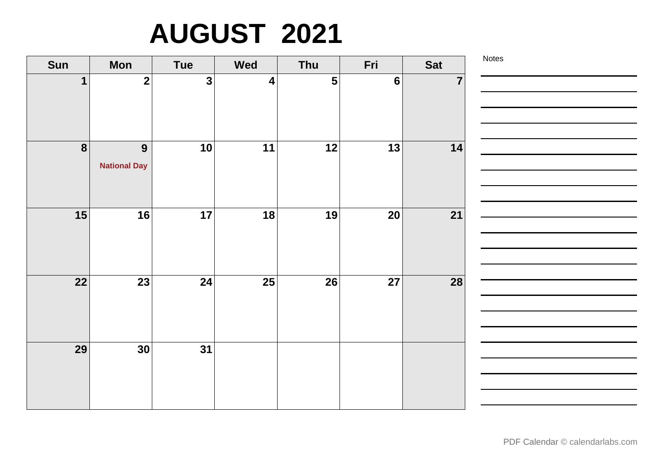# **AUGUST 2021**

| Sun              | <b>Mon</b>              | <b>Tue</b>              | <b>Wed</b>              | Thu | Fri            | Sat            | Notes |
|------------------|-------------------------|-------------------------|-------------------------|-----|----------------|----------------|-------|
|                  | $\overline{\mathbf{2}}$ | $\overline{\mathbf{3}}$ | $\overline{\mathbf{4}}$ | 5   | $6\phantom{1}$ | $\overline{7}$ |       |
|                  |                         |                         |                         |     |                |                |       |
|                  |                         |                         |                         |     |                |                |       |
| $\boldsymbol{8}$ | 9                       | 10                      | 11                      | 12  | 13             | 14             |       |
|                  | <b>National Day</b>     |                         |                         |     |                |                |       |
|                  |                         |                         |                         |     |                |                |       |
|                  |                         |                         |                         |     |                |                |       |
| 15               | 16                      | 17                      | 18                      | 19  | 20             | 21             |       |
|                  |                         |                         |                         |     |                |                |       |
|                  |                         |                         |                         |     |                |                |       |
|                  |                         |                         |                         |     |                |                |       |
| 22               | 23                      | 24                      | 25                      | 26  | 27             | 28             |       |
|                  |                         |                         |                         |     |                |                |       |
|                  |                         |                         |                         |     |                |                |       |
| 29               | 30                      | 31                      |                         |     |                |                |       |
|                  |                         |                         |                         |     |                |                |       |
|                  |                         |                         |                         |     |                |                |       |
|                  |                         |                         |                         |     |                |                |       |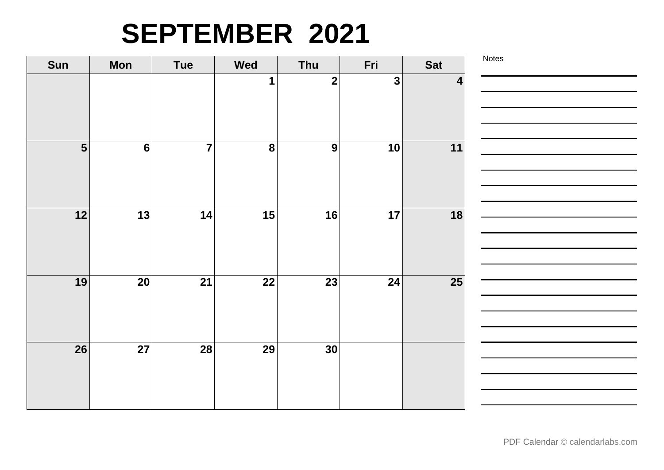#### **SEPTEMBER 2021**

| Sun            | <b>Mon</b>     | Tue            | <b>Wed</b>       | Thu              | Fri          | <b>Sat</b>              | Notes |
|----------------|----------------|----------------|------------------|------------------|--------------|-------------------------|-------|
|                |                |                | 1                | $\mathbf{2}$     | $\mathbf{3}$ | $\overline{\mathbf{4}}$ |       |
|                |                |                |                  |                  |              |                         |       |
|                |                |                |                  |                  |              |                         |       |
|                |                |                |                  |                  |              |                         |       |
| $5\phantom{1}$ | $6\phantom{a}$ | $\overline{7}$ | $\boldsymbol{8}$ | $\boldsymbol{9}$ | 10           | 11                      |       |
|                |                |                |                  |                  |              |                         |       |
|                |                |                |                  |                  |              |                         |       |
| 12             | 13             | 14             | 15               | 16               | 17           | 18                      |       |
|                |                |                |                  |                  |              |                         |       |
|                |                |                |                  |                  |              |                         |       |
|                |                |                |                  |                  |              |                         |       |
| 19             | 20             | 21             | 22               | 23               | 24           | <b>25</b>               |       |
|                |                |                |                  |                  |              |                         |       |
|                |                |                |                  |                  |              |                         |       |
| 26             | 27             | 28             | 29               | 30 <sup>°</sup>  |              |                         |       |
|                |                |                |                  |                  |              |                         |       |
|                |                |                |                  |                  |              |                         |       |
|                |                |                |                  |                  |              |                         |       |
|                |                |                |                  |                  |              |                         |       |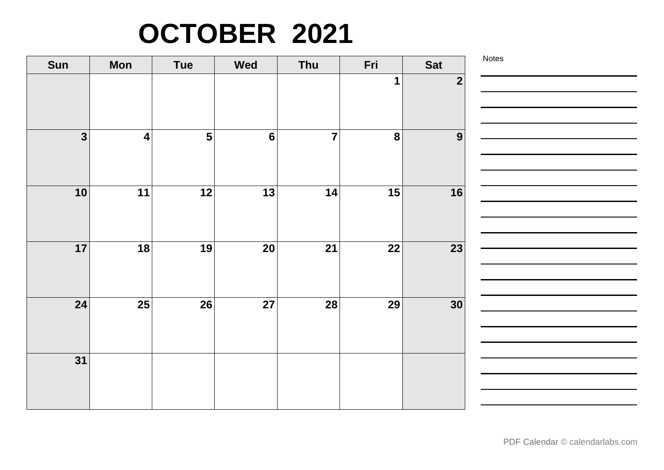# **OCTOBER 2021**

| Sun                     | <b>Mon</b>              | <b>Tue</b>              | Wed              | Thu            | Fri         | <b>Sat</b>     | Notes |
|-------------------------|-------------------------|-------------------------|------------------|----------------|-------------|----------------|-------|
|                         |                         |                         |                  |                | $\mathbf 1$ | $\overline{2}$ |       |
| $\overline{\mathbf{3}}$ | $\overline{\mathbf{4}}$ | $\overline{\mathbf{5}}$ | $\boldsymbol{6}$ | $\overline{7}$ | 8           | 9              |       |
| 10                      | 11                      | 12                      | 13               | 14             | 15          | 16             |       |
| 17                      | 18                      | 19                      | 20               | 21             | 22          | 23             |       |
| 24                      | $\overline{25}$         | 26                      | 27               | $\boxed{28}$   | <b>29</b>   | 30             |       |
| $\overline{31}$         |                         |                         |                  |                |             |                |       |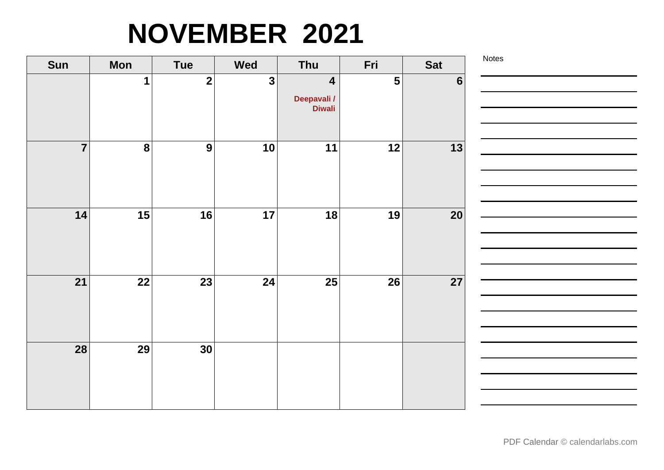# **NOVEMBER 2021**

| Sun            | <b>Mon</b>              | <b>Tue</b>              | Wed          | Thu                                                     | Fri | <b>Sat</b>     | Notes |
|----------------|-------------------------|-------------------------|--------------|---------------------------------------------------------|-----|----------------|-------|
|                | 1                       | $\overline{\mathbf{2}}$ | $\mathbf{3}$ | $\overline{\mathbf{4}}$<br>Deepavali /<br><b>Diwali</b> | 5   | $6\phantom{1}$ |       |
| $\overline{7}$ | $\overline{\mathbf{8}}$ | 9                       | 10           | 11                                                      | 12  | 13             |       |
| 14             | 15                      | 16                      | 17           | 18                                                      | 19  | 20             |       |
| 21             | 22                      | 23                      | 24           | 25                                                      | 26  | <b>27</b>      |       |
| 28             | 29                      | 30                      |              |                                                         |     |                |       |